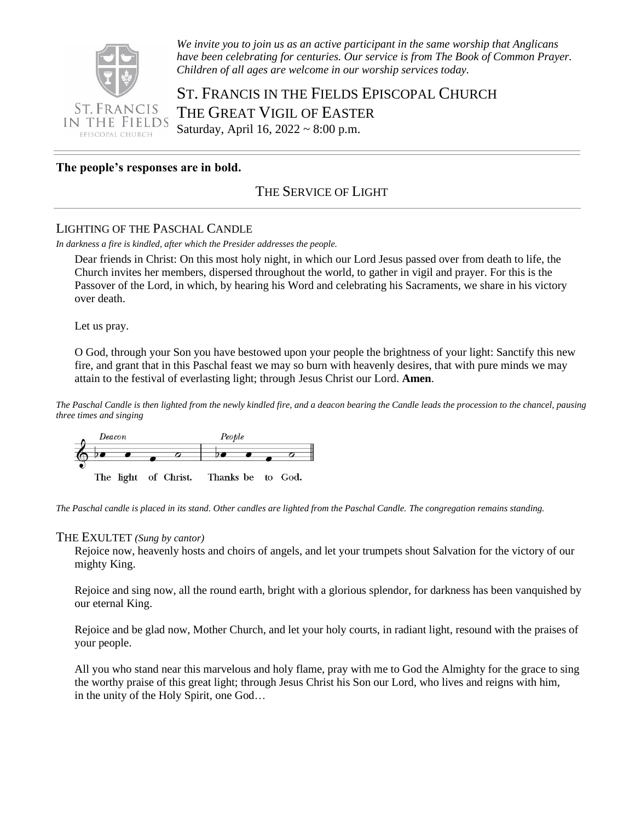

*We invite you to join us as an active participant in the same worship that Anglicans have been celebrating for centuries. Our service is from The Book of Common Prayer. Children of all ages are welcome in our worship services today.*

ST. FRANCIS IN THE FIELDS EPISCOPAL CHURCH THE GREAT VIGIL OF EASTER Saturday, April 16, 2022 ~ 8:00 p.m.

# **The people's responses are in bold.**

# THE SERVICE OF LIGHT

#### LIGHTING OF THE PASCHAL CANDLE

*In darkness a fire is kindled, after which the Presider addresses the people.* 

Dear friends in Christ: On this most holy night, in which our Lord Jesus passed over from death to life, the Church invites her members, dispersed throughout the world, to gather in vigil and prayer. For this is the Passover of the Lord, in which, by hearing his Word and celebrating his Sacraments, we share in his victory over death.

Let us pray.

O God, through your Son you have bestowed upon your people the brightness of your light: Sanctify this new fire, and grant that in this Paschal feast we may so burn with heavenly desires, that with pure minds we may attain to the festival of everlasting light; through Jesus Christ our Lord. **Amen**.

*The Paschal Candle is then lighted from the newly kindled fire, and a deacon bearing the Candle leads the procession to the chancel, pausing three times and singing*



*The Paschal candle is placed in its stand. Other candles are lighted from the Paschal Candle. The congregation remains standing.* 

#### THE EXULTET *(Sung by cantor)*

Rejoice now, heavenly hosts and choirs of angels, and let your trumpets shout Salvation for the victory of our mighty King.

Rejoice and sing now, all the round earth, bright with a glorious splendor, for darkness has been vanquished by our eternal King.

Rejoice and be glad now, Mother Church, and let your holy courts, in radiant light, resound with the praises of your people.

All you who stand near this marvelous and holy flame, pray with me to God the Almighty for the grace to sing the worthy praise of this great light; through Jesus Christ his Son our Lord, who lives and reigns with him, in the unity of the Holy Spirit, one God…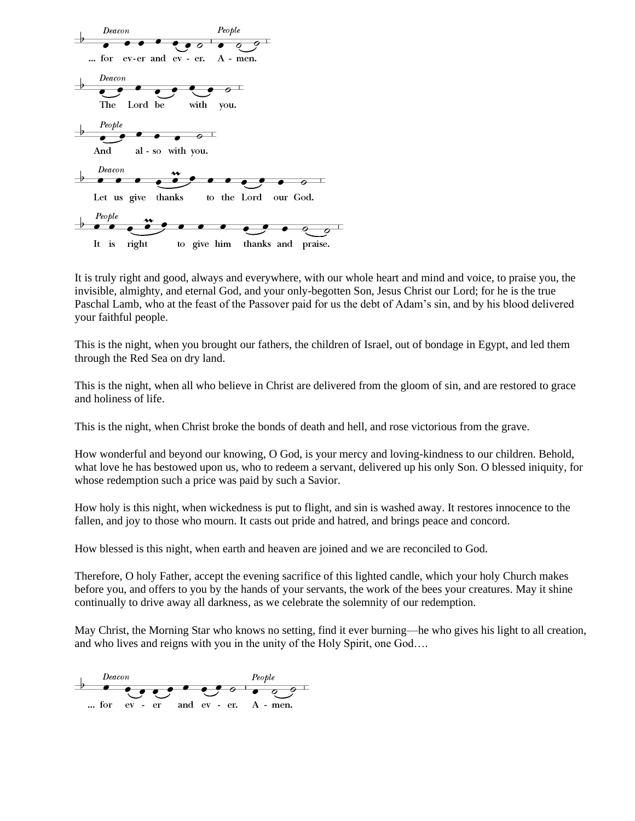

It is truly right and good, always and everywhere, with our whole heart and mind and voice, to praise you, the invisible, almighty, and eternal God, and your only-begotten Son, Jesus Christ our Lord; for he is the true Paschal Lamb, who at the feast of the Passover paid for us the debt of Adam's sin, and by his blood delivered your faithful people.

This is the night, when you brought our fathers, the children of Israel, out of bondage in Egypt, and led them through the Red Sea on dry land.

This is the night, when all who believe in Christ are delivered from the gloom of sin, and are restored to grace and holiness of life.

This is the night, when Christ broke the bonds of death and hell, and rose victorious from the grave.

How wonderful and beyond our knowing, O God, is your mercy and loving-kindness to our children. Behold, what love he has bestowed upon us, who to redeem a servant, delivered up his only Son. O blessed iniquity, for whose redemption such a price was paid by such a Savior.

How holy is this night, when wickedness is put to flight, and sin is washed away. It restores innocence to the fallen, and joy to those who mourn. It casts out pride and hatred, and brings peace and concord.

How blessed is this night, when earth and heaven are joined and we are reconciled to God.

Therefore, O holy Father, accept the evening sacrifice of this lighted candle, which your holy Church makes before you, and offers to you by the hands of your servants, the work of the bees your creatures. May it shine continually to drive away all darkness, as we celebrate the solemnity of our redemption.

May Christ, the Morning Star who knows no setting, find it ever burning––he who gives his light to all creation, and who lives and reigns with you in the unity of the Holy Spirit, one God….

 $\overrightarrow{C}$ ... for  $ev - er$  and  $ev - er$ .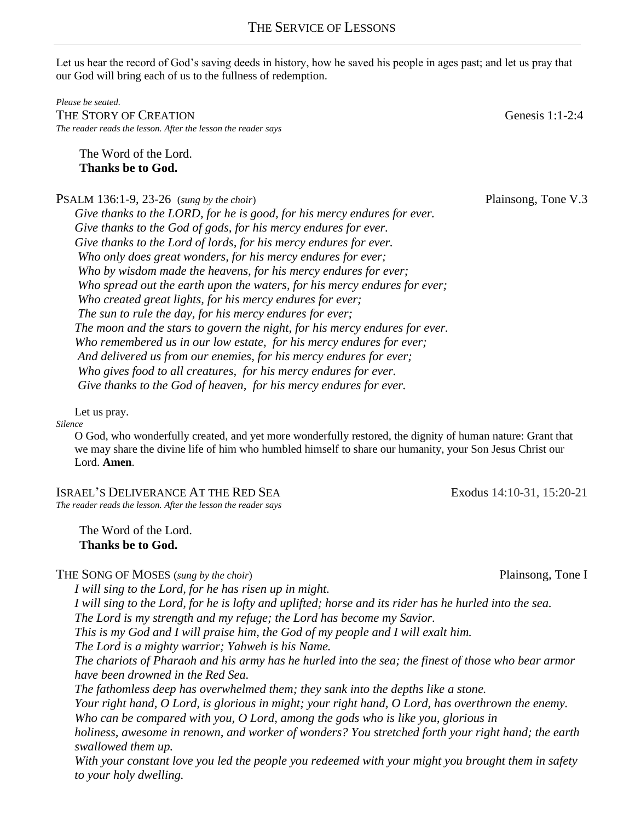Let us hear the record of God's saving deeds in history, how he saved his people in ages past; and let us pray that our God will bring each of us to the fullness of redemption.

*Please be seated.*  THE STORY OF CREATION GENERATION GENERATION GENERATION GENERATION *The reader reads the lesson. After the lesson the reader says*

The Word of the Lord. **Thanks be to God.**

PSALM 136:1-9, 23-26 (*sung by the choir*) Plainsong, Tone V.3

*Give thanks to the LORD, for he is good, for his mercy endures for ever. Give thanks to the God of gods, for his mercy endures for ever. Give thanks to the Lord of lords, for his mercy endures for ever. Who only does great wonders, for his mercy endures for ever; Who by wisdom made the heavens, for his mercy endures for ever; Who spread out the earth upon the waters, for his mercy endures for ever; Who created great lights, for his mercy endures for ever; The sun to rule the day, for his mercy endures for ever; The moon and the stars to govern the night, for his mercy endures for ever. Who remembered us in our low estate, for his mercy endures for ever; And delivered us from our enemies, for his mercy endures for ever; Who gives food to all creatures, for his mercy endures for ever. Give thanks to the God of heaven, for his mercy endures for ever.*

Let us pray. *Silence*

> O God, who wonderfully created, and yet more wonderfully restored, the dignity of human nature: Grant that we may share the divine life of him who humbled himself to share our humanity, your Son Jesus Christ our Lord. **Amen**.

ISRAEL'S DELIVERANCE AT THE RED SEA Exodus 14:10-31, 15:20-21 *The reader reads the lesson. After the lesson the reader says*

The Word of the Lord. **Thanks be to God.**

THE SONG OF MOSES (*sung by the choir*) **Plainsong, Tone I** 

*I will sing to the Lord, for he has risen up in might. I will sing to the Lord, for he is lofty and uplifted; horse and its rider has he hurled into the sea. The Lord is my strength and my refuge; the Lord has become my Savior. This is my God and I will praise him, the God of my people and I will exalt him. The Lord is a mighty warrior; Yahweh is his Name. The chariots of Pharaoh and his army has he hurled into the sea; the finest of those who bear armor have been drowned in the Red Sea. The fathomless deep has overwhelmed them; they sank into the depths like a stone. Your right hand, O Lord, is glorious in might; your right hand, O Lord, has overthrown the enemy. Who can be compared with you, O Lord, among the gods who is like you, glorious in holiness, awesome in renown, and worker of wonders? You stretched forth your right hand; the earth swallowed them up. With your constant love you led the people you redeemed with your might you brought them in safety to your holy dwelling.*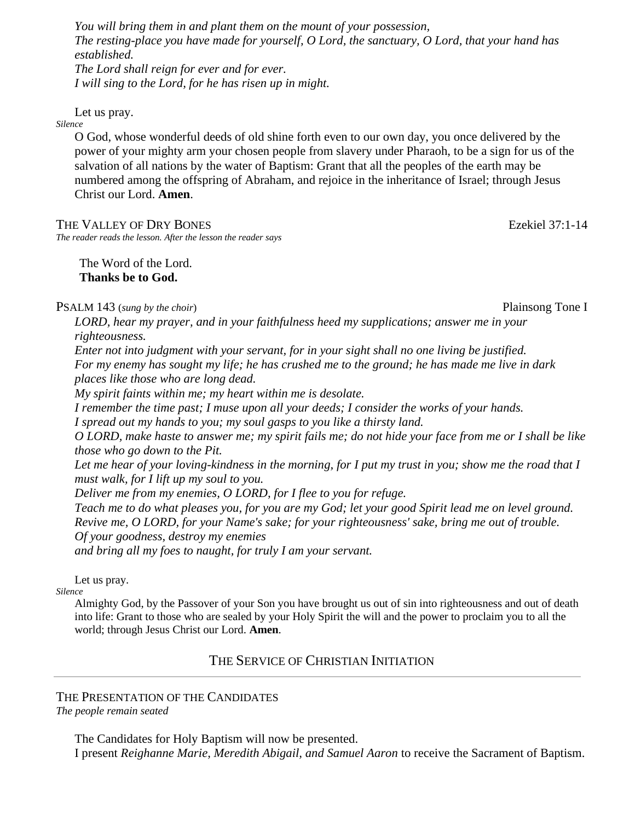*You will bring them in and plant them on the mount of your possession, The resting-place you have made for yourself, O Lord, the sanctuary, O Lord, that your hand has established. The Lord shall reign for ever and for ever. I will sing to the Lord, for he has risen up in might.* 

Let us pray.

*Silence*

O God, whose wonderful deeds of old shine forth even to our own day, you once delivered by the power of your mighty arm your chosen people from slavery under Pharaoh, to be a sign for us of the salvation of all nations by the water of Baptism: Grant that all the peoples of the earth may be numbered among the offspring of Abraham, and rejoice in the inheritance of Israel; through Jesus Christ our Lord. **Amen**.

THE VALLEY OF DRY BONES **EXECUTE:** EXEKIEL 37:1-14

*The reader reads the lesson. After the lesson the reader says*

The Word of the Lord. **Thanks be to God.**

PSALM 143 (*sung by the choir*) PSALM 143 (*sung by the choir*) Plainsong Tone I

*LORD, hear my prayer, and in your faithfulness heed my supplications; answer me in your righteousness. Enter not into judgment with your servant, for in your sight shall no one living be justified. For my enemy has sought my life; he has crushed me to the ground; he has made me live in dark places like those who are long dead. My spirit faints within me; my heart within me is desolate. I remember the time past; I muse upon all your deeds; I consider the works of your hands. I spread out my hands to you; my soul gasps to you like a thirsty land. O LORD, make haste to answer me; my spirit fails me; do not hide your face from me or I shall be like* 

*those who go down to the Pit.*

*Let me hear of your loving-kindness in the morning, for I put my trust in you; show me the road that I must walk, for I lift up my soul to you.*

*Deliver me from my enemies, O LORD, for I flee to you for refuge.*

*Teach me to do what pleases you, for you are my God; let your good Spirit lead me on level ground. Revive me, O LORD, for your Name's sake; for your righteousness' sake, bring me out of trouble. Of your goodness, destroy my enemies and bring all my foes to naught, for truly I am your servant.*

Let us pray.

*Silence*

Almighty God, by the Passover of your Son you have brought us out of sin into righteousness and out of death into life: Grant to those who are sealed by your Holy Spirit the will and the power to proclaim you to all the world; through Jesus Christ our Lord. **Amen**.

# THE SERVICE OF CHRISTIAN INITIATION

# THE PRESENTATION OF THE CANDIDATES

*The people remain seated* 

The Candidates for Holy Baptism will now be presented.

I present *Reighanne Marie, Meredith Abigail, and Samuel Aaron* to receive the Sacrament of Baptism.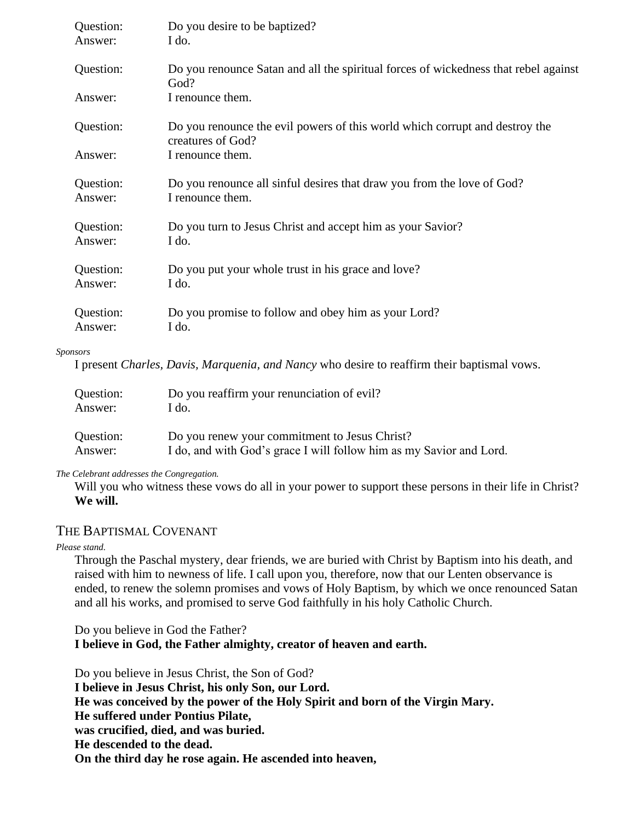| Question: | Do you desire to be baptized?                                                                    |
|-----------|--------------------------------------------------------------------------------------------------|
| Answer:   | I do.                                                                                            |
| Question: | Do you renounce Satan and all the spiritual forces of wickedness that rebel against<br>God?      |
| Answer:   | I renounce them.                                                                                 |
| Question: | Do you renounce the evil powers of this world which corrupt and destroy the<br>creatures of God? |
| Answer:   | I renounce them.                                                                                 |
| Question: | Do you renounce all sinful desires that draw you from the love of God?                           |
| Answer:   | I renounce them.                                                                                 |
| Question: | Do you turn to Jesus Christ and accept him as your Savior?                                       |
| Answer:   | I do.                                                                                            |
| Question: | Do you put your whole trust in his grace and love?                                               |
| Answer:   | I do.                                                                                            |
| Question: | Do you promise to follow and obey him as your Lord?                                              |
| Answer:   | I do.                                                                                            |

#### *Sponsors*

I present *Charles, Davis, Marquenia, and Nancy* who desire to reaffirm their baptismal vows.

| Question: | Do you reaffirm your renunciation of evil?                          |
|-----------|---------------------------------------------------------------------|
| Answer:   | I do.                                                               |
| Question: | Do you renew your commitment to Jesus Christ?                       |
| Answer:   | I do, and with God's grace I will follow him as my Savior and Lord. |

*The Celebrant addresses the Congregation.*

Will you who witness these vows do all in your power to support these persons in their life in Christ? **We will.**

# THE BAPTISMAL COVENANT

*Please stand.*

Through the Paschal mystery, dear friends, we are buried with Christ by Baptism into his death, and raised with him to newness of life. I call upon you, therefore, now that our Lenten observance is ended, to renew the solemn promises and vows of Holy Baptism, by which we once renounced Satan and all his works, and promised to serve God faithfully in his holy Catholic Church.

Do you believe in God the Father? **I believe in God, the Father almighty, creator of heaven and earth.** 

Do you believe in Jesus Christ, the Son of God? **I believe in Jesus Christ, his only Son, our Lord. He was conceived by the power of the Holy Spirit and born of the Virgin Mary. He suffered under Pontius Pilate, was crucified, died, and was buried. He descended to the dead. On the third day he rose again. He ascended into heaven,**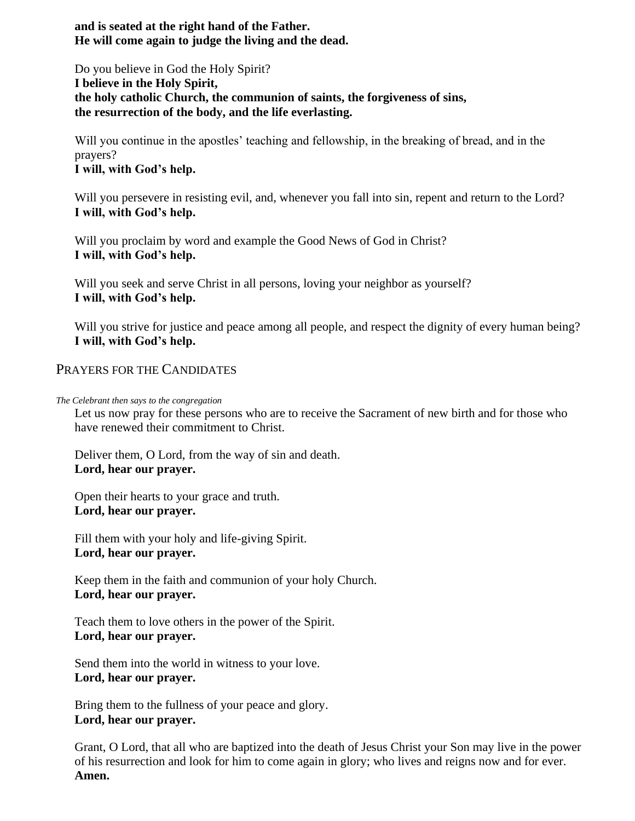**and is seated at the right hand of the Father. He will come again to judge the living and the dead.** 

Do you believe in God the Holy Spirit? **I believe in the Holy Spirit, the holy catholic Church, the communion of saints, the forgiveness of sins, the resurrection of the body, and the life everlasting.** 

Will you continue in the apostles' teaching and fellowship, in the breaking of bread, and in the prayers? **I will, with God's help.** 

Will you persevere in resisting evil, and, whenever you fall into sin, repent and return to the Lord? **I will, with God's help.** 

Will you proclaim by word and example the Good News of God in Christ? **I will, with God's help.**

Will you seek and serve Christ in all persons, loving your neighbor as yourself? **I will, with God's help.**

Will you strive for justice and peace among all people, and respect the dignity of every human being? **I will, with God's help.**

# PRAYERS FOR THE CANDIDATES

*The Celebrant then says to the congregation* 

Let us now pray for these persons who are to receive the Sacrament of new birth and for those who have renewed their commitment to Christ.

Deliver them, O Lord, from the way of sin and death. **Lord, hear our prayer.**

Open their hearts to your grace and truth. **Lord, hear our prayer.** 

Fill them with your holy and life-giving Spirit. **Lord, hear our prayer.** 

Keep them in the faith and communion of your holy Church. **Lord, hear our prayer.**

Teach them to love others in the power of the Spirit. **Lord, hear our prayer.** 

Send them into the world in witness to your love. **Lord, hear our prayer.** 

Bring them to the fullness of your peace and glory. **Lord, hear our prayer.** 

Grant, O Lord, that all who are baptized into the death of Jesus Christ your Son may live in the power of his resurrection and look for him to come again in glory; who lives and reigns now and for ever. **Amen.**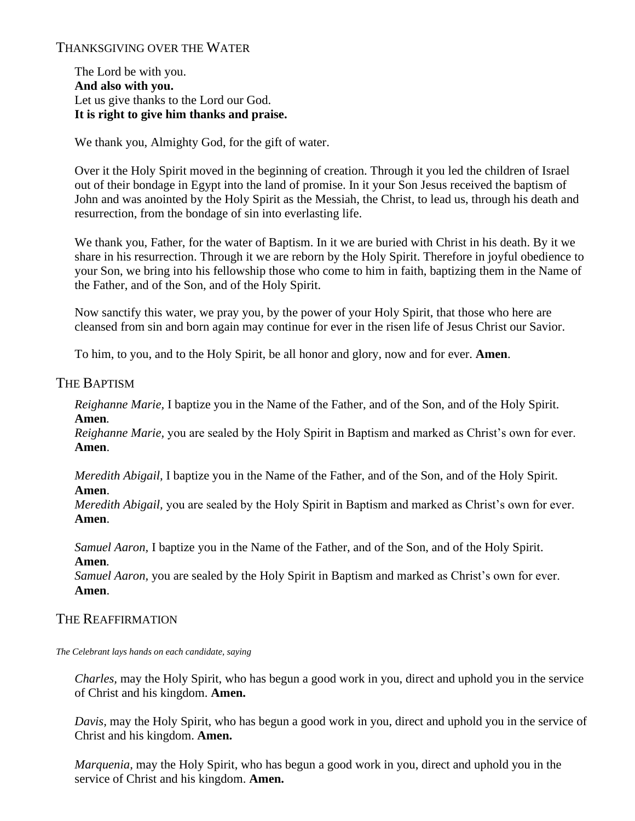# THANKSGIVING OVER THE WATER

The Lord be with you. **And also with you.** Let us give thanks to the Lord our God. **It is right to give him thanks and praise.**

We thank you, Almighty God, for the gift of water.

Over it the Holy Spirit moved in the beginning of creation. Through it you led the children of Israel out of their bondage in Egypt into the land of promise. In it your Son Jesus received the baptism of John and was anointed by the Holy Spirit as the Messiah, the Christ, to lead us, through his death and resurrection, from the bondage of sin into everlasting life.

We thank you, Father, for the water of Baptism. In it we are buried with Christ in his death. By it we share in his resurrection. Through it we are reborn by the Holy Spirit. Therefore in joyful obedience to your Son, we bring into his fellowship those who come to him in faith, baptizing them in the Name of the Father, and of the Son, and of the Holy Spirit.

Now sanctify this water, we pray you, by the power of your Holy Spirit, that those who here are cleansed from sin and born again may continue for ever in the risen life of Jesus Christ our Savior.

To him, to you, and to the Holy Spirit, be all honor and glory, now and for ever. **Amen**.

# THE BAPTISM

*Reighanne Marie,* I baptize you in the Name of the Father, and of the Son, and of the Holy Spirit. **Amen***.* 

*Reighanne Marie,* you are sealed by the Holy Spirit in Baptism and marked as Christ's own for ever. **Amen**.

*Meredith Abigail,* I baptize you in the Name of the Father, and of the Son, and of the Holy Spirit. **Amen**.

*Meredith Abigail,* you are sealed by the Holy Spirit in Baptism and marked as Christ's own for ever. **Amen**.

*Samuel Aaron,* I baptize you in the Name of the Father, and of the Son, and of the Holy Spirit. **Amen***.* 

*Samuel Aaron,* you are sealed by the Holy Spirit in Baptism and marked as Christ's own for ever. **Amen**.

# THE REAFFIRMATION

*The Celebrant lays hands on each candidate, saying*

*Charles,* may the Holy Spirit, who has begun a good work in you, direct and uphold you in the service of Christ and his kingdom. **Amen.**

*Davis,* may the Holy Spirit, who has begun a good work in you, direct and uphold you in the service of Christ and his kingdom. **Amen.**

*Marquenia,* may the Holy Spirit, who has begun a good work in you, direct and uphold you in the service of Christ and his kingdom. **Amen.**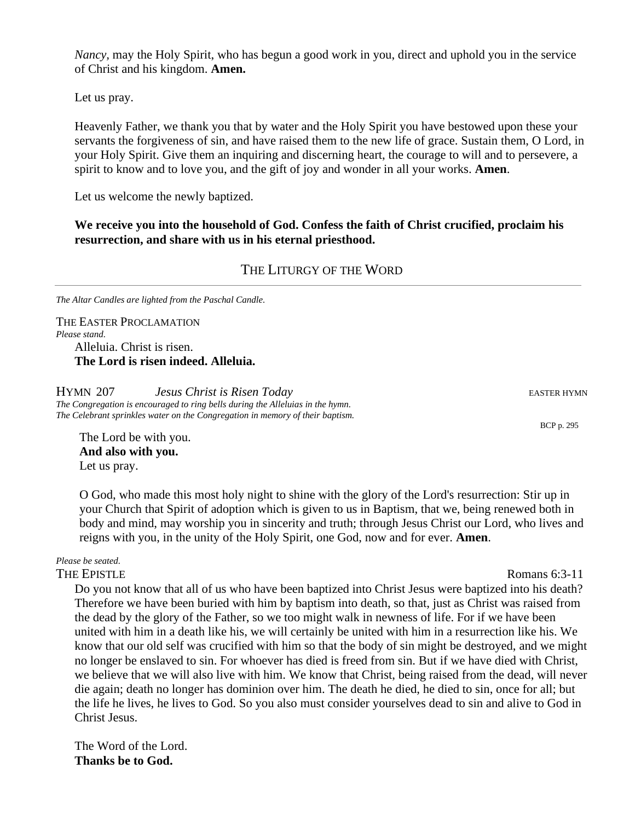*Nancy,* may the Holy Spirit, who has begun a good work in you, direct and uphold you in the service of Christ and his kingdom. **Amen.**

Let us pray.

Heavenly Father, we thank you that by water and the Holy Spirit you have bestowed upon these your servants the forgiveness of sin, and have raised them to the new life of grace. Sustain them, O Lord, in your Holy Spirit. Give them an inquiring and discerning heart, the courage to will and to persevere, a spirit to know and to love you, and the gift of joy and wonder in all your works. **Amen**.

Let us welcome the newly baptized.

**We receive you into the household of God. Confess the faith of Christ crucified, proclaim his resurrection, and share with us in his eternal priesthood.**

### THE LITURGY OF THE WORD

*The Altar Candles are lighted from the Paschal Candle.* 

THE EASTER PROCLAMATION *Please stand.*  Alleluia. Christ is risen. **The Lord is risen indeed. Alleluia.**

**HYMN** 207 *Jesus Christ is Risen Today* **EASTER HYMN** EASTER HYMN *The Congregation is encouraged to ring bells during the Alleluias in the hymn. The Celebrant sprinkles water on the Congregation in memory of their baptism.* 

The Lord be with you. **And also with you.** Let us pray.

O God, who made this most holy night to shine with the glory of the Lord's resurrection: Stir up in your Church that Spirit of adoption which is given to us in Baptism, that we, being renewed both in body and mind, may worship you in sincerity and truth; through Jesus Christ our Lord, who lives and reigns with you, in the unity of the Holy Spirit, one God, now and for ever. **Amen**.

*Please be seated.*

Do you not know that all of us who have been baptized into Christ Jesus were baptized into his death? Therefore we have been buried with him by baptism into death, so that, just as Christ was raised from the dead by the glory of the Father, so we too might walk in newness of life. For if we have been united with him in a death like his, we will certainly be united with him in a resurrection like his. We know that our old self was crucified with him so that the body of sin might be destroyed, and we might no longer be enslaved to sin. For whoever has died is freed from sin. But if we have died with Christ, we believe that we will also live with him. We know that Christ, being raised from the dead, will never die again; death no longer has dominion over him. The death he died, he died to sin, once for all; but the life he lives, he lives to God. So you also must consider yourselves dead to sin and alive to God in Christ Jesus.

The Word of the Lord. **Thanks be to God.**

BCP p. 295

THE EPISTLE Romans 6:3-11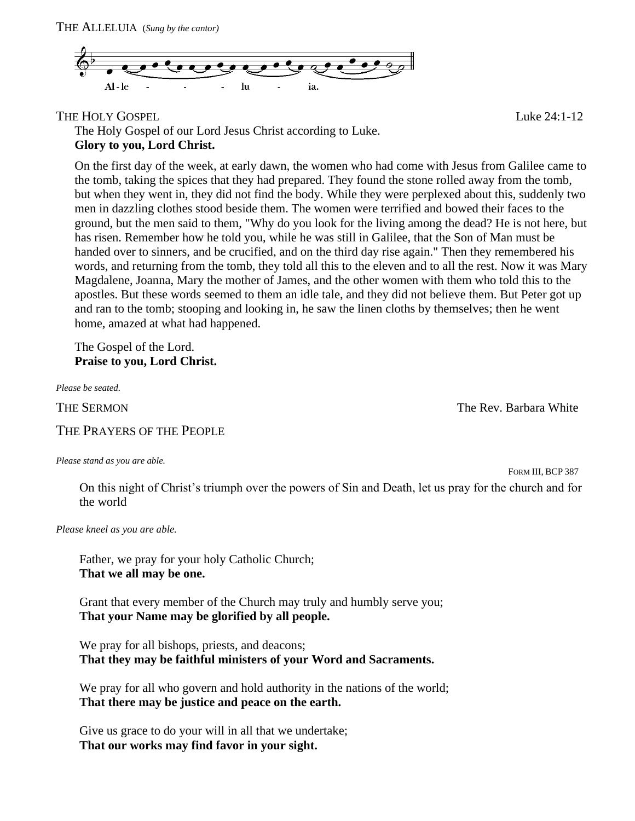

THE HOLY GOSPEL THE HOLY GOSPEL

The Holy Gospel of our Lord Jesus Christ according to Luke. **Glory to you, Lord Christ.**

On the first day of the week, at early dawn, the women who had come with Jesus from Galilee came to the tomb, taking the spices that they had prepared. They found the stone rolled away from the tomb, but when they went in, they did not find the body. While they were perplexed about this, suddenly two men in dazzling clothes stood beside them. The women were terrified and bowed their faces to the ground, but the men said to them, "Why do you look for the living among the dead? He is not here, but has risen. Remember how he told you, while he was still in Galilee, that the Son of Man must be handed over to sinners, and be crucified, and on the third day rise again." Then they remembered his words, and returning from the tomb, they told all this to the eleven and to all the rest. Now it was Mary Magdalene, Joanna, Mary the mother of James, and the other women with them who told this to the apostles. But these words seemed to them an idle tale, and they did not believe them. But Peter got up and ran to the tomb; stooping and looking in, he saw the linen cloths by themselves; then he went home, amazed at what had happened.

The Gospel of the Lord. **Praise to you, Lord Christ.**

*Please be seated.*

THE SERMON THE SERMON

THE PRAYERS OF THE PEOPLE

*Please stand as you are able.* 

FORM III, BCP 387

On this night of Christ's triumph over the powers of Sin and Death, let us pray for the church and for the world

*Please kneel as you are able.* 

Father, we pray for your holy Catholic Church; **That we all may be one.** 

Grant that every member of the Church may truly and humbly serve you; **That your Name may be glorified by all people.**

We pray for all bishops, priests, and deacons; **That they may be faithful ministers of your Word and Sacraments.** 

We pray for all who govern and hold authority in the nations of the world; **That there may be justice and peace on the earth.**

Give us grace to do your will in all that we undertake; **That our works may find favor in your sight.**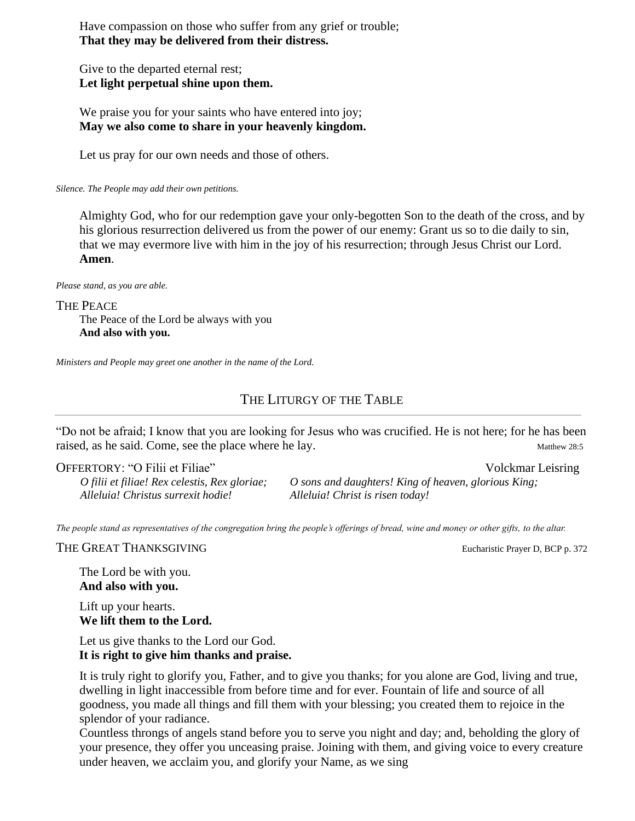Have compassion on those who suffer from any grief or trouble; **That they may be delivered from their distress.**

Give to the departed eternal rest; **Let light perpetual shine upon them.** 

We praise you for your saints who have entered into joy; **May we also come to share in your heavenly kingdom.** 

Let us pray for our own needs and those of others.

*Silence. The People may add their own petitions.* 

Almighty God, who for our redemption gave your only-begotten Son to the death of the cross, and by his glorious resurrection delivered us from the power of our enemy: Grant us so to die daily to sin, that we may evermore live with him in the joy of his resurrection; through Jesus Christ our Lord. **Amen**.

*Please stand, as you are able.*

THE PEACE

The Peace of the Lord be always with you **And also with you.**

*Ministers and People may greet one another in the name of the Lord.*

# THE LITURGY OF THE TABLE

"Do not be afraid; I know that you are looking for Jesus who was crucified. He is not here; for he has been raised, as he said. Come, see the place where he lay. Matthew 28:5

OFFERTORY: "O Filii et Filiae" Volckmar Leisring

*O filii et filiae! Rex celestis, Rex gloriae; Alleluia! Christus surrexit hodie!*

*O sons and daughters! King of heaven, glorious King; Alleluia! Christ is risen today!*

*The people stand as representatives of the congregation bring the people's offerings of bread, wine and money or other gifts, to the altar.* 

THE GREAT THANKSGIVING **EUCHARIST CONSUMING** EUCHARIST EUCHARISTIC Prayer D, BCP p. 372

The Lord be with you. **And also with you.**

Lift up your hearts. **We lift them to the Lord.**

Let us give thanks to the Lord our God. **It is right to give him thanks and praise.**

It is truly right to glorify you, Father, and to give you thanks; for you alone are God, living and true, dwelling in light inaccessible from before time and for ever. Fountain of life and source of all goodness, you made all things and fill them with your blessing; you created them to rejoice in the splendor of your radiance.

Countless throngs of angels stand before you to serve you night and day; and, beholding the glory of your presence, they offer you unceasing praise. Joining with them, and giving voice to every creature under heaven, we acclaim you, and glorify your Name, as we sing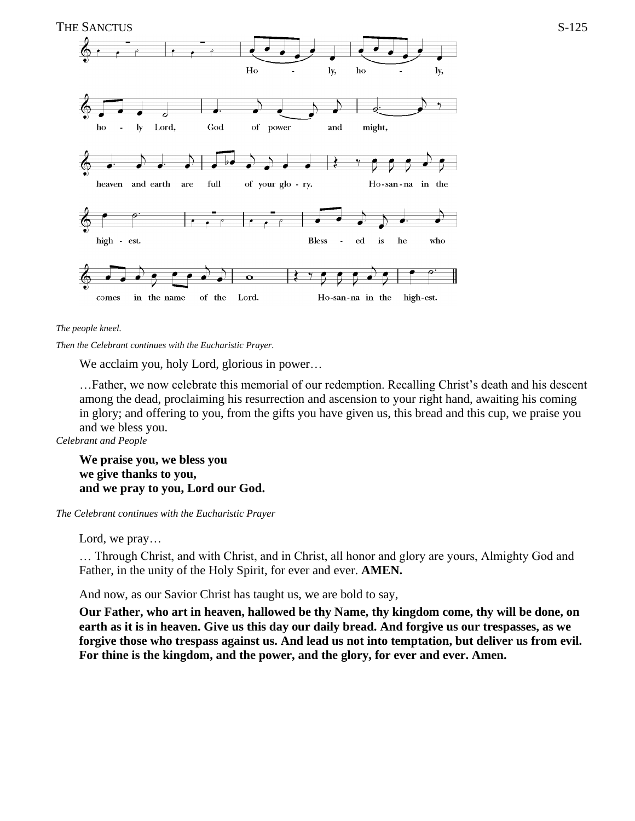

*The people kneel.*

*Then the Celebrant continues with the Eucharistic Prayer.* 

We acclaim you, holy Lord, glorious in power…

…Father, we now celebrate this memorial of our redemption. Recalling Christ's death and his descent among the dead, proclaiming his resurrection and ascension to your right hand, awaiting his coming in glory; and offering to you, from the gifts you have given us, this bread and this cup, we praise you and we bless you.

*Celebrant and People*

**We praise you, we bless you we give thanks to you, and we pray to you, Lord our God.** 

*The Celebrant continues with the Eucharistic Prayer* 

Lord, we pray…

… Through Christ, and with Christ, and in Christ, all honor and glory are yours, Almighty God and Father, in the unity of the Holy Spirit, for ever and ever. **AMEN.**

And now, as our Savior Christ has taught us, we are bold to say,

**Our Father, who art in heaven, hallowed be thy Name, thy kingdom come, thy will be done, on earth as it is in heaven. Give us this day our daily bread. And forgive us our trespasses, as we forgive those who trespass against us. And lead us not into temptation, but deliver us from evil. For thine is the kingdom, and the power, and the glory, for ever and ever. Amen.**